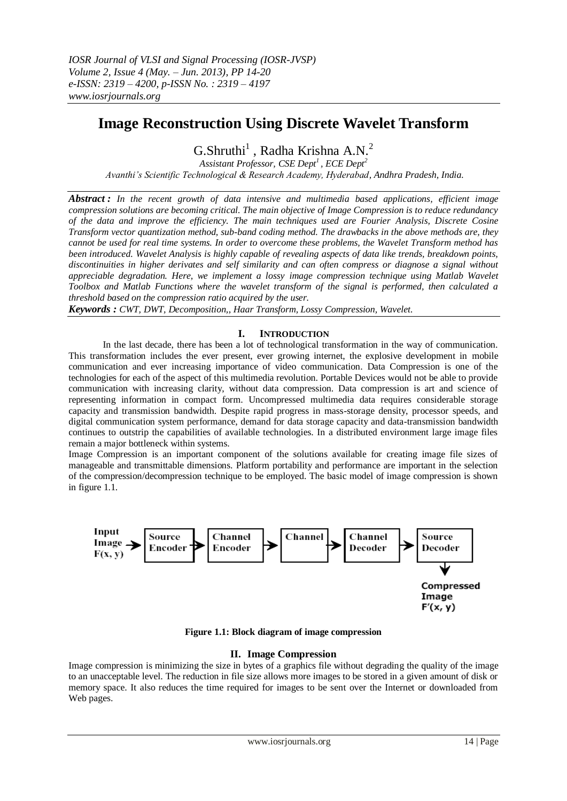# **Image Reconstruction Using Discrete Wavelet Transform**

 $G.Shruthi<sup>1</sup>$ , Radha Krishna A.N.<sup>2</sup>

*Assistant Professor, CSE Dept<sup>1</sup>, ECE Dept<sup>2</sup> Avanthi's Scientific Technological & Research Academy, Hyderabad, Andhra Pradesh, India.*

*Abstract : In the recent growth of data intensive and multimedia based applications, efficient image compression solutions are becoming critical. The main objective of Image Compression is to reduce redundancy of the data and improve the efficiency. The main techniques used are Fourier Analysis, Discrete Cosine Transform vector quantization method, sub-band coding method. The drawbacks in the above methods are, they cannot be used for real time systems. In order to overcome these problems, the Wavelet Transform method has been introduced. Wavelet Analysis is highly capable of revealing aspects of data like trends, breakdown points, discontinuities in higher derivates and self similarity and can often compress or diagnose a signal without appreciable degradation. Here, we implement a lossy image compression technique using Matlab Wavelet Toolbox and Matlab Functions where the wavelet transform of the signal is performed, then calculated a threshold based on the compression ratio acquired by the user.*

*Keywords : CWT, DWT, Decomposition,, Haar Transform, Lossy Compression, Wavelet.*

# **I. INTRODUCTION**

In the last decade, there has been a lot of technological transformation in the way of communication. This transformation includes the ever present, ever growing internet, the explosive development in mobile communication and ever increasing importance of video communication. Data Compression is one of the technologies for each of the aspect of this multimedia revolution. Portable Devices would not be able to provide communication with increasing clarity, without data compression. Data compression is art and science of representing information in compact form. Uncompressed multimedia data requires considerable storage capacity and transmission bandwidth. Despite rapid progress in mass-storage density, processor speeds, and digital communication system performance, demand for data storage capacity and data-transmission bandwidth continues to outstrip the capabilities of available technologies. In a distributed environment large image files remain a major bottleneck within systems.

Image Compression is an important component of the solutions available for creating image file sizes of manageable and transmittable dimensions. Platform portability and performance are important in the selection of the compression/decompression technique to be employed. The basic model of image compression is shown in figure 1.1.



**Figure 1.1: Block diagram of image compression**

# **II. Image Compression**

Image compression is minimizing the size in bytes of a graphics file without degrading the quality of the image to an unacceptable level. The reduction in file size allows more images to be stored in a given amount of disk or memory space. It also reduces the time required for images to be sent over the Internet or downloaded from Web pages.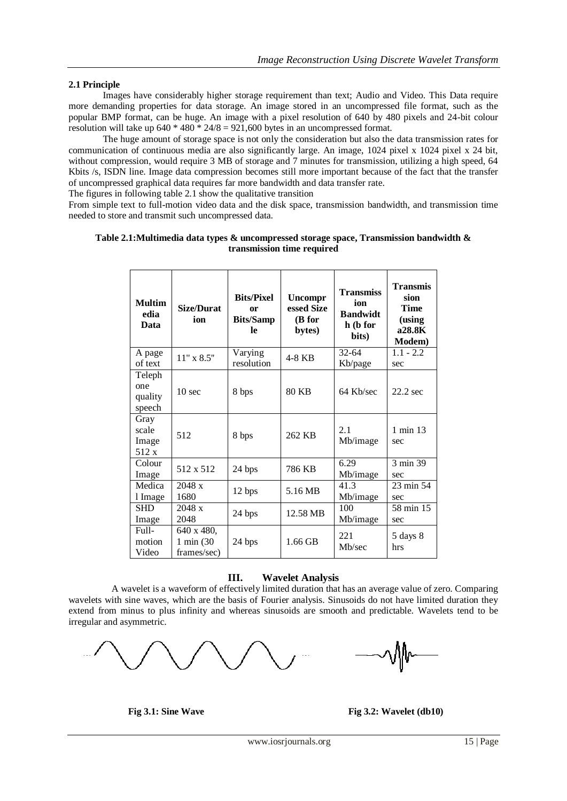# **2.1 Principle**

Images have considerably higher storage requirement than text; Audio and Video. This Data require more demanding properties for data storage. An image stored in an uncompressed file format, such as the popular BMP format, can be huge. An image with a pixel resolution of 640 by 480 pixels and 24-bit colour resolution will take up  $640 * 480 * 24/8 = 921,600$  bytes in an uncompressed format.

The huge amount of storage space is not only the consideration but also the data transmission rates for communication of continuous media are also significantly large. An image, 1024 pixel x 1024 pixel x 24 bit, without compression, would require 3 MB of storage and 7 minutes for transmission, utilizing a high speed, 64 Kbits /s, ISDN line. Image data compression becomes still more important because of the fact that the transfer of uncompressed graphical data requires far more bandwidth and data transfer rate.

The figures in following table 2.1 show the qualitative transition

From simple text to full-motion video data and the disk space, transmission bandwidth, and transmission time needed to store and transmit such uncompressed data.

#### **Table 2.1:Multimedia data types & uncompressed storage space, Transmission bandwidth & transmission time required**

| <b>Multim</b><br>edia<br>Data      | <b>Size/Durat</b><br>ion                | <b>Bits/Pixel</b><br>or<br><b>Bits/Samp</b><br>le | Uncompr<br>essed Size<br>(B for<br>bytes) | <b>Transmiss</b><br>ion<br><b>Bandwidt</b><br>h (b for<br>bits) | <b>Transmis</b><br>sion<br><b>Time</b><br>(using<br>a28.8K<br>Modem) |
|------------------------------------|-----------------------------------------|---------------------------------------------------|-------------------------------------------|-----------------------------------------------------------------|----------------------------------------------------------------------|
| A page<br>of text                  | $11"$ x $8.5"$                          | Varying<br>resolution                             | 4-8 KB                                    | $32 - 64$<br>Kb/page                                            | $1.1 - 2.2$<br>sec                                                   |
| Teleph<br>one<br>quality<br>speech | $10 \text{ sec}$                        | 8 bps                                             | <b>80 KB</b>                              | 64 Kb/sec                                                       | 22.2 sec                                                             |
| Gray<br>scale<br>Image<br>512 x    | 512                                     | 8 bps                                             | 262 KB                                    | 2.1<br>Mb/image                                                 | 1 min 13<br>sec                                                      |
| Colour<br>Image                    | 512 x 512                               | 24 bps                                            | 786 KB                                    | 6.29<br>Mb/image                                                | 3 min 39<br>sec                                                      |
| Medica<br>1 Image                  | 2048 x<br>1680                          | 12 bps                                            | 5.16 MB                                   | 41.3<br>Mb/image                                                | 23 min 54<br>sec                                                     |
| <b>SHD</b><br>Image                | 2048 x<br>2048                          | 24 bps                                            | 12.58 MB                                  | 100<br>Mb/image                                                 | $\overline{58}$ min 15<br>sec                                        |
| Full-<br>motion<br>Video           | 640 x 480,<br>1 min (30)<br>frames/sec) | 24 bps                                            | $1.66$ GB                                 | 221<br>Mb/sec                                                   | 5 days 8<br>hrs                                                      |

### **III. Wavelet Analysis**

A wavelet is a waveform of effectively limited duration that has an average value of zero. Comparing wavelets with sine waves, which are the basis of Fourier analysis. Sinusoids do not have limited duration they extend from minus to plus infinity and whereas sinusoids are smooth and predictable. Wavelets tend to be irregular and asymmetric.



**Fig 3.1: Sine Wave Fig 3.2: Wavelet (db10)**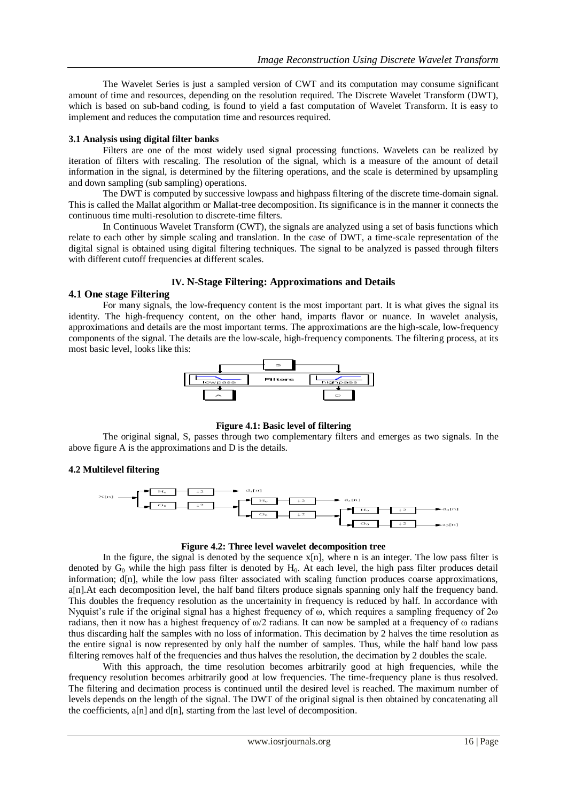The Wavelet Series is just a sampled version of CWT and its computation may consume significant amount of time and resources, depending on the resolution required. The Discrete Wavelet Transform (DWT), which is based on sub-band coding, is found to yield a fast computation of Wavelet Transform. It is easy to implement and reduces the computation time and resources required.

#### **3.1 Analysis using digital filter banks**

Filters are one of the most widely used signal processing functions. Wavelets can be realized by iteration of filters with rescaling. The resolution of the signal, which is a measure of the amount of detail information in the signal, is determined by the filtering operations, and the scale is determined by upsampling and down sampling (sub sampling) operations.

The DWT is computed by successive lowpass and highpass filtering of the discrete time-domain signal. This is called the Mallat algorithm or Mallat-tree decomposition. Its significance is in the manner it connects the continuous time multi-resolution to discrete-time filters.

In Continuous Wavelet Transform (CWT), the signals are analyzed using a set of basis functions which relate to each other by simple scaling and translation. In the case of DWT, a time-scale representation of the digital signal is obtained using digital filtering techniques. The signal to be analyzed is passed through filters with different cutoff frequencies at different scales.

# **IV. N-Stage Filtering: Approximations and Details**

#### **4.1 One stage Filtering**

For many signals, the low-frequency content is the most important part. It is what gives the signal its identity. The high-frequency content, on the other hand, imparts flavor or nuance. In wavelet analysis, approximations and details are the most important terms. The approximations are the high-scale, low-frequency components of the signal. The details are the low-scale, high-frequency components. The filtering process, at its most basic level, looks like this:



# **Figure 4.1: Basic level of filtering**

The original signal, S, passes through two complementary filters and emerges as two signals. In the above figure A is the approximations and D is the details.

# **4.2 Multilevel filtering**



#### **Figure 4.2: Three level wavelet decomposition tree**

In the figure, the signal is denoted by the sequence  $x[n]$ , where n is an integer. The low pass filter is denoted by  $G_0$  while the high pass filter is denoted by  $H_0$ . At each level, the high pass filter produces detail information; d[n], while the low pass filter associated with scaling function produces coarse approximations, a[n].At each decomposition level, the half band filters produce signals spanning only half the frequency band. This doubles the frequency resolution as the uncertainity in frequency is reduced by half. In accordance with Nyquist's rule if the original signal has a highest frequency of ω, which requires a sampling frequency of 2ω radians, then it now has a highest frequency of ω/2 radians. It can now be sampled at a frequency of ω radians thus discarding half the samples with no loss of information. This decimation by 2 halves the time resolution as the entire signal is now represented by only half the number of samples. Thus, while the half band low pass filtering removes half of the frequencies and thus halves the resolution, the decimation by 2 doubles the scale.

With this approach, the time resolution becomes arbitrarily good at high frequencies, while the frequency resolution becomes arbitrarily good at low frequencies. The time-frequency plane is thus resolved. The filtering and decimation process is continued until the desired level is reached. The maximum number of levels depends on the length of the signal. The DWT of the original signal is then obtained by concatenating all the coefficients,  $a[n]$  and  $d[n]$ , starting from the last level of decomposition.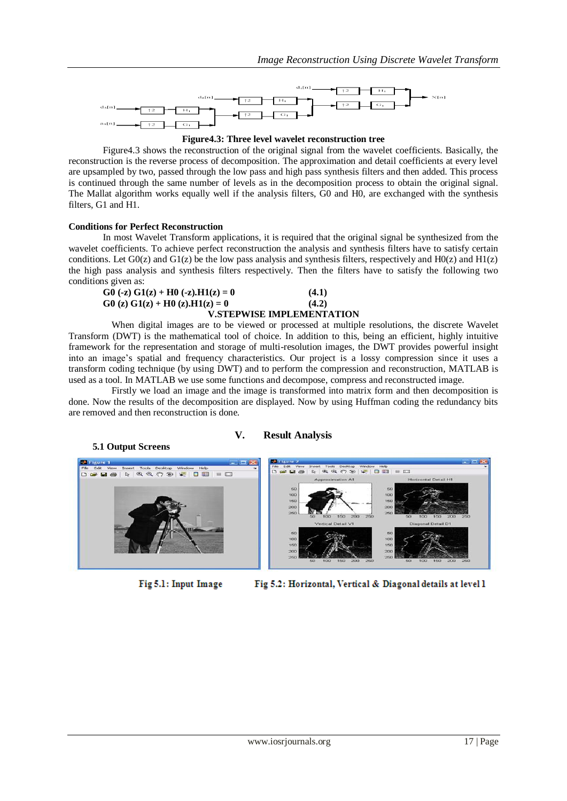



Figure4.3 shows the reconstruction of the original signal from the wavelet coefficients. Basically, the reconstruction is the reverse process of decomposition. The approximation and detail coefficients at every level are upsampled by two, passed through the low pass and high pass synthesis filters and then added. This process is continued through the same number of levels as in the decomposition process to obtain the original signal. The Mallat algorithm works equally well if the analysis filters, G0 and H0, are exchanged with the synthesis filters, G1 and H1.

#### **Conditions for Perfect Reconstruction**

In most Wavelet Transform applications, it is required that the original signal be synthesized from the wavelet coefficients. To achieve perfect reconstruction the analysis and synthesis filters have to satisfy certain conditions. Let  $G0(z)$  and  $G1(z)$  be the low pass analysis and synthesis filters, respectively and  $H0(z)$  and  $H1(z)$ the high pass analysis and synthesis filters respectively. Then the filters have to satisfy the following two conditions given as:

| G0 (-z) G1(z) + H0 (-z).H1(z) = 0   | (4.1)                            |
|-------------------------------------|----------------------------------|
| $G_0(z) G_1(z) + H_0(z) H_1(z) = 0$ | (4.2)                            |
|                                     | <b>V.STEPWISE IMPLEMENTATION</b> |

#### When digital images are to be viewed or processed at multiple resolutions, the discrete Wavelet Transform (DWT) is the mathematical tool of choice. In addition to this, being an efficient, highly intuitive framework for the representation and storage of multi-resolution images, the DWT provides powerful insight into an image's spatial and frequency characteristics. Our project is a lossy compression since it uses a transform coding technique (by using DWT) and to perform the compression and reconstruction, MATLAB is used as a tool. In MATLAB we use some functions and decompose, compress and reconstructed image.

Firstly we load an image and the image is transformed into matrix form and then decomposition is done. Now the results of the decomposition are displayed. Now by using Huffman coding the redundancy bits are removed and then reconstruction is done.

# **V. Result Analysis**



Fig 5.1: Input Image

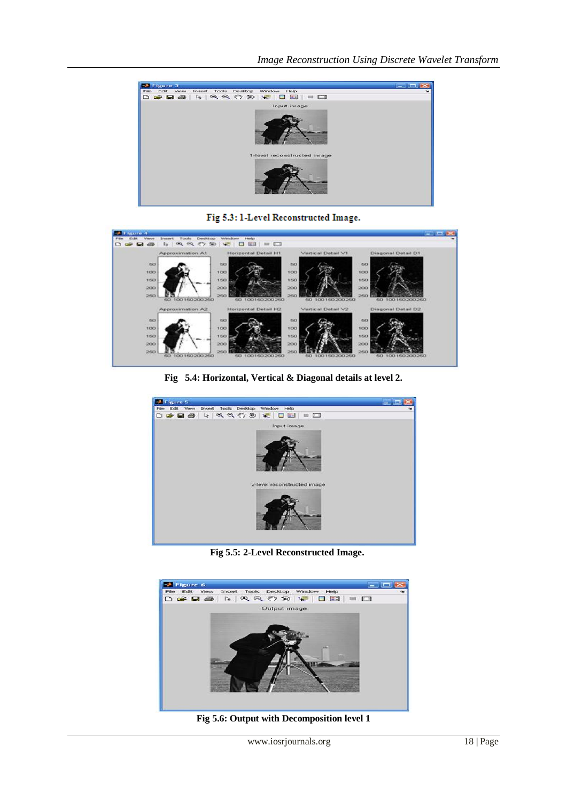

Fig 5.3: 1-Level Reconstructed Image.



**Fig 5.4: Horizontal, Vertical & Diagonal details at level 2.**



 **Fig 5.5: 2-Level Reconstructed Image.**



**Fig 5.6: Output with Decomposition level 1**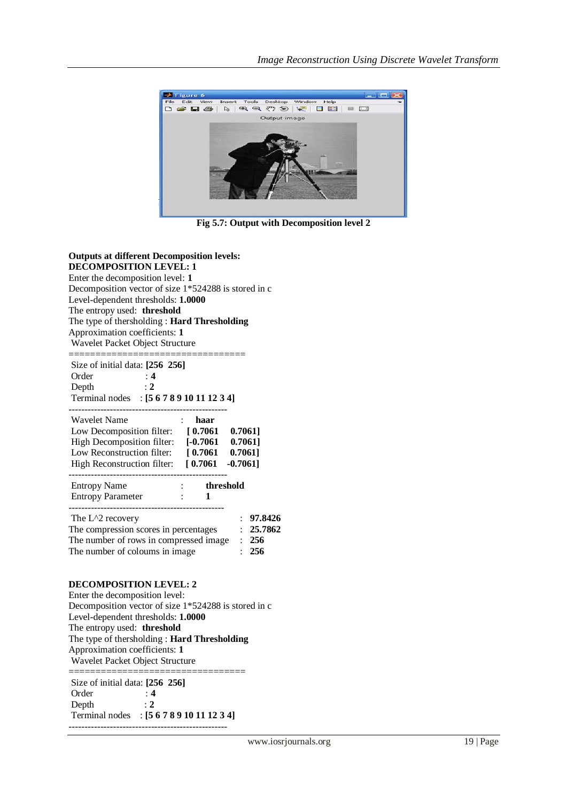

**Fig 5.7: Output with Decomposition level 2**

| <b>Outputs at different Decomposition levels:</b><br><b>DECOMPOSITION LEVEL: 1</b><br>Enter the decomposition level: 1<br>Decomposition vector of size 1*524288 is stored in c<br>Level-dependent thresholds: 1.0000<br>The entropy used: threshold<br>The type of thersholding: Hard Thresholding<br>Approximation coefficients: 1<br>Wavelet Packet Object Structure<br>=================================== |
|---------------------------------------------------------------------------------------------------------------------------------------------------------------------------------------------------------------------------------------------------------------------------------------------------------------------------------------------------------------------------------------------------------------|
| Size of initial data: $[256 256]$<br>$\begin{array}{c} 4 \ \vdots 2 \end{array}$<br>Order<br>Depth<br>Terminal nodes : [5 6 7 8 9 10 11 12 3 4]                                                                                                                                                                                                                                                               |
| <b>Wavelet Name</b><br>$\therefore$ haar<br>Low Decomposition filter: [0.7061 0.7061]<br>High Decomposition filter: [-0.7061 0.7061]<br>Low Reconstruction filter: [0.7061 0.7061]<br>High Reconstruction filter: [0.7061 -0.7061]                                                                                                                                                                            |
| Entropy Name : threshold<br>Entropy Parameter : 1                                                                                                                                                                                                                                                                                                                                                             |
| : 97.8426<br>The $L^2$ recovery<br>The compression scores in percentages<br>: 25.7862<br>The compression are the compressed image : 256<br>The number of coloums in image : 256<br>The number of coloums in image                                                                                                                                                                                             |
| <b>DECOMPOSITION LEVEL: 2</b><br>Enter the decomposition level:<br>Decomposition vector of size 1*524288 is stored in c<br>Level-dependent thresholds: 1.0000<br>The entrony used <b>threshold</b>                                                                                                                                                                                                            |

The entropy used: **threshold** The type of thersholding : **Hard Thresholding**

Approximation coefficients: **1**

Wavelet Packet Object Structure =================================

Size of initial data: **[256 256]** Order : **4** Depth : **2** Terminal nodes : **[5 6 7 8 9 10 11 12 3 4]** --------------------------------------------------